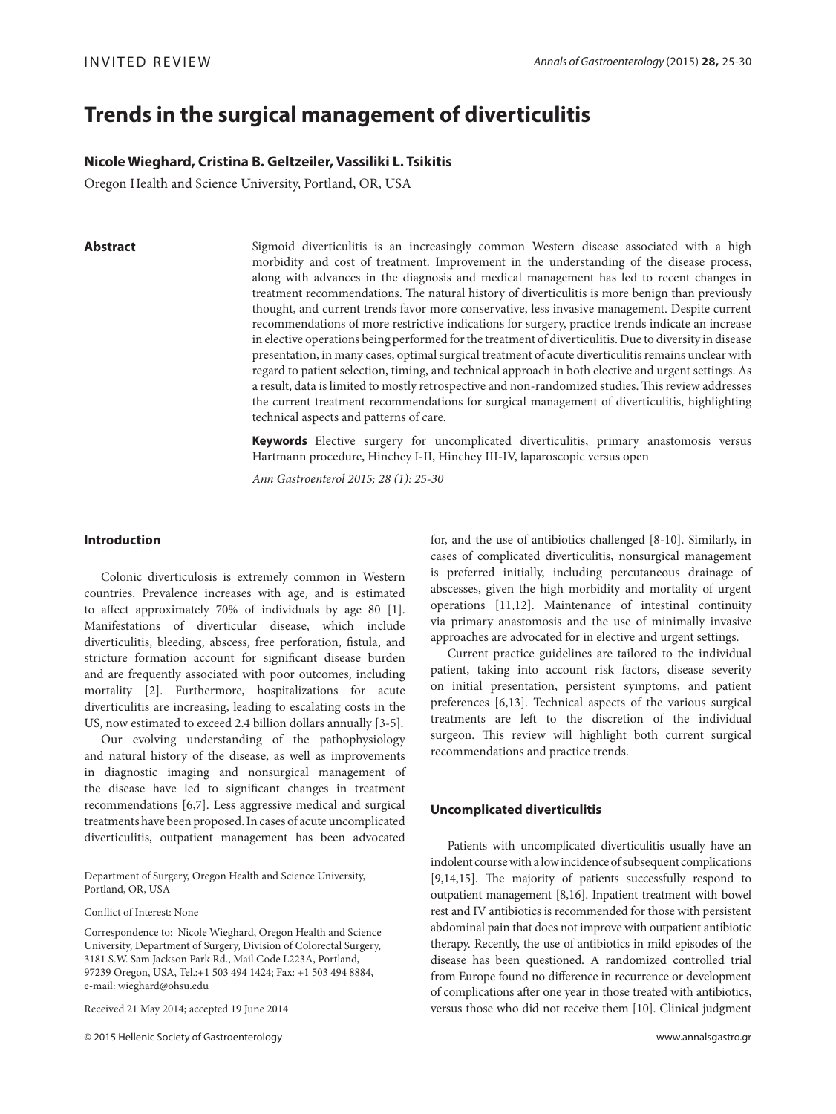# **Trends in the surgical management of diverticulitis**

# **Nicole Wieghard, Cristina B. Geltzeiler, Vassiliki L. Tsikitis**

Oregon Health and Science University, Portland, OR, USA

Abstract Sigmoid diverticulitis is an increasingly common Western disease associated with a high morbidity and cost of treatment. Improvement in the understanding of the disease process, along with advances in the diagnosis and medical management has led to recent changes in treatment recommendations. The natural history of diverticulitis is more benign than previously thought, and current trends favor more conservative, less invasive management. Despite current recommendations of more restrictive indications for surgery, practice trends indicate an increase in elective operations being performed for the treatment of diverticulitis. Due to diversity in disease presentation, in many cases, optimal surgical treatment of acute diverticulitis remains unclear with regard to patient selection, timing, and technical approach in both elective and urgent settings. As a result, data is limited to mostly retrospective and non-randomized studies. This review addresses the current treatment recommendations for surgical management of diverticulitis, highlighting technical aspects and patterns of care.

> **Keywords** Elective surgery for uncomplicated diverticulitis, primary anastomosis versus Hartmann procedure, Hinchey I-II, Hinchey III-IV, laparoscopic versus open

*Ann Gastroenterol 2015; 28 (1): 25-30*

# **Introduction**

Colonic diverticulosis is extremely common in Western countries. Prevalence increases with age, and is estimated to affect approximately 70% of individuals by age 80 [1]. Manifestations of diverticular disease, which include diverticulitis, bleeding, abscess, free perforation, fistula, and stricture formation account for significant disease burden and are frequently associated with poor outcomes, including mortality [2]. Furthermore, hospitalizations for acute diverticulitis are increasing, leading to escalating costs in the US, now estimated to exceed 2.4 billion dollars annually [3-5].

Our evolving understanding of the pathophysiology and natural history of the disease, as well as improvements in diagnostic imaging and nonsurgical management of the disease have led to significant changes in treatment recommendations [6,7]. Less aggressive medical and surgical treatments have been proposed. In cases of acute uncomplicated diverticulitis, outpatient management has been advocated

Department of Surgery, Oregon Health and Science University, Portland, OR, USA

Conflict of Interest: None

Correspondence to: Nicole Wieghard, Oregon Health and Science University, Department of Surgery, Division of Colorectal Surgery, 3181 S.W. Sam Jackson Park Rd., Mail Code L223A, Portland, 97239 Oregon, USA, Tel.:+1 503 494 1424; Fax: +1 503 494 8884, e-mail: wieghard@ohsu.edu

Received 21 May 2014; accepted 19 June 2014

© 2015 Hellenic Society of Gastroenterology www.annalsgastro.gr

for, and the use of antibiotics challenged [8-10]. Similarly, in cases of complicated diverticulitis, nonsurgical management is preferred initially, including percutaneous drainage of abscesses, given the high morbidity and mortality of urgent operations [11,12]. Maintenance of intestinal continuity via primary anastomosis and the use of minimally invasive approaches are advocated for in elective and urgent settings.

Current practice guidelines are tailored to the individual patient, taking into account risk factors, disease severity on initial presentation, persistent symptoms, and patient preferences [6,13]. Technical aspects of the various surgical treatments are left to the discretion of the individual surgeon. This review will highlight both current surgical recommendations and practice trends.

# **Uncomplicated diverticulitis**

Patients with uncomplicated diverticulitis usually have an indolent course with a low incidence of subsequent complications [9,14,15]. The majority of patients successfully respond to outpatient management [8,16]. Inpatient treatment with bowel rest and IV antibiotics is recommended for those with persistent abdominal pain that does not improve with outpatient antibiotic therapy. Recently, the use of antibiotics in mild episodes of the disease has been questioned. A randomized controlled trial from Europe found no difference in recurrence or development of complications after one year in those treated with antibiotics, versus those who did not receive them [10]. Clinical judgment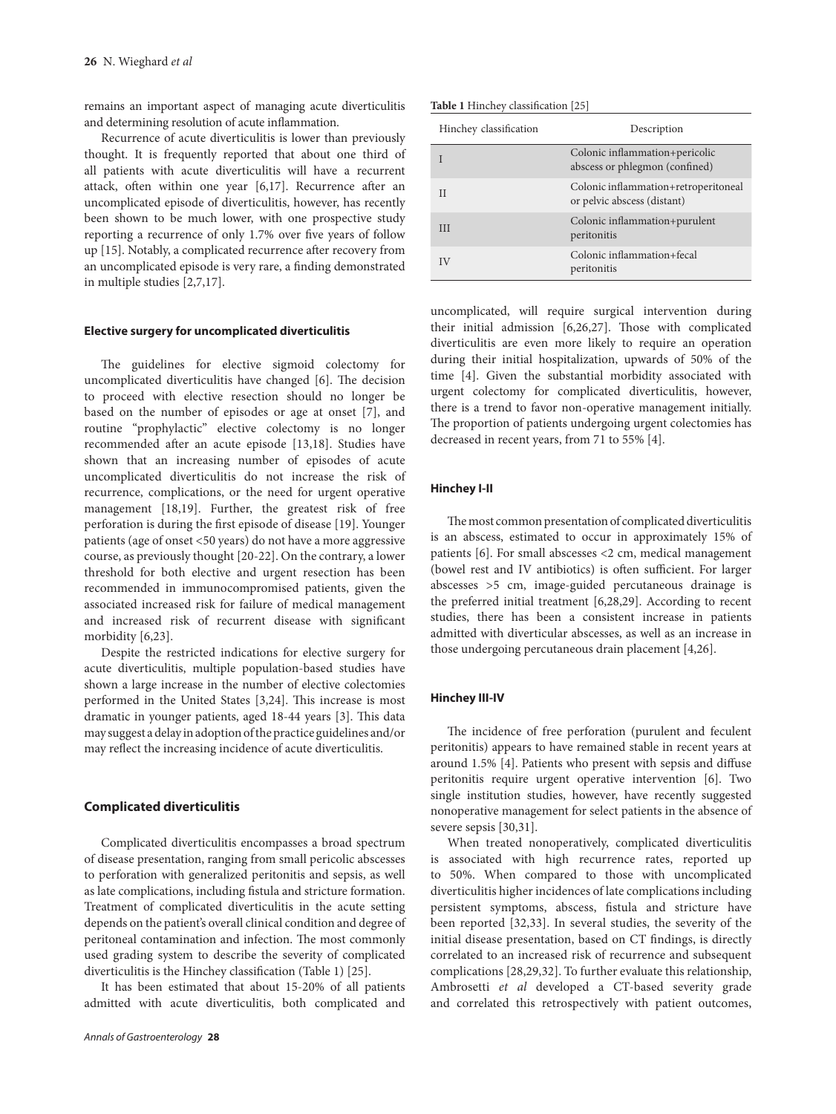remains an important aspect of managing acute diverticulitis and determining resolution of acute inflammation.

Recurrence of acute diverticulitis is lower than previously thought. It is frequently reported that about one third of all patients with acute diverticulitis will have a recurrent attack, often within one year [6,17]. Recurrence after an uncomplicated episode of diverticulitis, however, has recently been shown to be much lower, with one prospective study reporting a recurrence of only 1.7% over five years of follow up [15]. Notably, a complicated recurrence after recovery from an uncomplicated episode is very rare, a finding demonstrated in multiple studies [2,7,17].

#### **Elective surgery for uncomplicated diverticulitis**

The guidelines for elective sigmoid colectomy for uncomplicated diverticulitis have changed [6]. The decision to proceed with elective resection should no longer be based on the number of episodes or age at onset [7], and routine "prophylactic" elective colectomy is no longer recommended after an acute episode [13,18]. Studies have shown that an increasing number of episodes of acute uncomplicated diverticulitis do not increase the risk of recurrence, complications, or the need for urgent operative management [18,19]. Further, the greatest risk of free perforation is during the first episode of disease [19]. Younger patients (age of onset <50 years) do not have a more aggressive course, as previously thought [20-22]. On the contrary, a lower threshold for both elective and urgent resection has been recommended in immunocompromised patients, given the associated increased risk for failure of medical management and increased risk of recurrent disease with significant morbidity [6,23].

Despite the restricted indications for elective surgery for acute diverticulitis, multiple population-based studies have shown a large increase in the number of elective colectomies performed in the United States [3,24]. This increase is most dramatic in younger patients, aged 18-44 years [3]. This data may suggest a delay in adoption of the practice guidelines and/or may reflect the increasing incidence of acute diverticulitis.

# **Complicated diverticulitis**

Complicated diverticulitis encompasses a broad spectrum of disease presentation, ranging from small pericolic abscesses to perforation with generalized peritonitis and sepsis, as well as late complications, including fistula and stricture formation. Treatment of complicated diverticulitis in the acute setting depends on the patient's overall clinical condition and degree of peritoneal contamination and infection. The most commonly used grading system to describe the severity of complicated diverticulitis is the Hinchey classification (Table 1) [25].

It has been estimated that about 15-20% of all patients admitted with acute diverticulitis, both complicated and

| <b>Table 1 Hinchey classification</b> [25] |  |  |
|--------------------------------------------|--|--|
|--------------------------------------------|--|--|

| Hinchey classification | Description                                                         |
|------------------------|---------------------------------------------------------------------|
|                        | Colonic inflammation+pericolic<br>abscess or phlegmon (confined)    |
| Н                      | Colonic inflammation+retroperitoneal<br>or pelvic abscess (distant) |
| Ш                      | Colonic inflammation+purulent<br>peritonitis                        |
|                        | Colonic inflammation+fecal<br>peritonitis                           |

uncomplicated, will require surgical intervention during their initial admission [6,26,27]. Those with complicated diverticulitis are even more likely to require an operation during their initial hospitalization, upwards of 50% of the time [4]. Given the substantial morbidity associated with urgent colectomy for complicated diverticulitis, however, there is a trend to favor non-operative management initially. The proportion of patients undergoing urgent colectomies has decreased in recent years, from 71 to 55% [4].

#### **Hinchey I-II**

The most common presentation of complicated diverticulitis is an abscess, estimated to occur in approximately 15% of patients [6]. For small abscesses <2 cm, medical management (bowel rest and IV antibiotics) is often sufficient. For larger abscesses >5 cm, image-guided percutaneous drainage is the preferred initial treatment [6,28,29]. According to recent studies, there has been a consistent increase in patients admitted with diverticular abscesses, as well as an increase in those undergoing percutaneous drain placement [4,26].

#### **Hinchey III-IV**

The incidence of free perforation (purulent and feculent peritonitis) appears to have remained stable in recent years at around 1.5% [4]. Patients who present with sepsis and diffuse peritonitis require urgent operative intervention [6]. Two single institution studies, however, have recently suggested nonoperative management for select patients in the absence of severe sepsis [30,31].

When treated nonoperatively, complicated diverticulitis is associated with high recurrence rates, reported up to 50%. When compared to those with uncomplicated diverticulitis higher incidences of late complications including persistent symptoms, abscess, fistula and stricture have been reported [32,33]. In several studies, the severity of the initial disease presentation, based on CT findings, is directly correlated to an increased risk of recurrence and subsequent complications [28,29,32]. To further evaluate this relationship, Ambrosetti *et al* developed a CT-based severity grade and correlated this retrospectively with patient outcomes,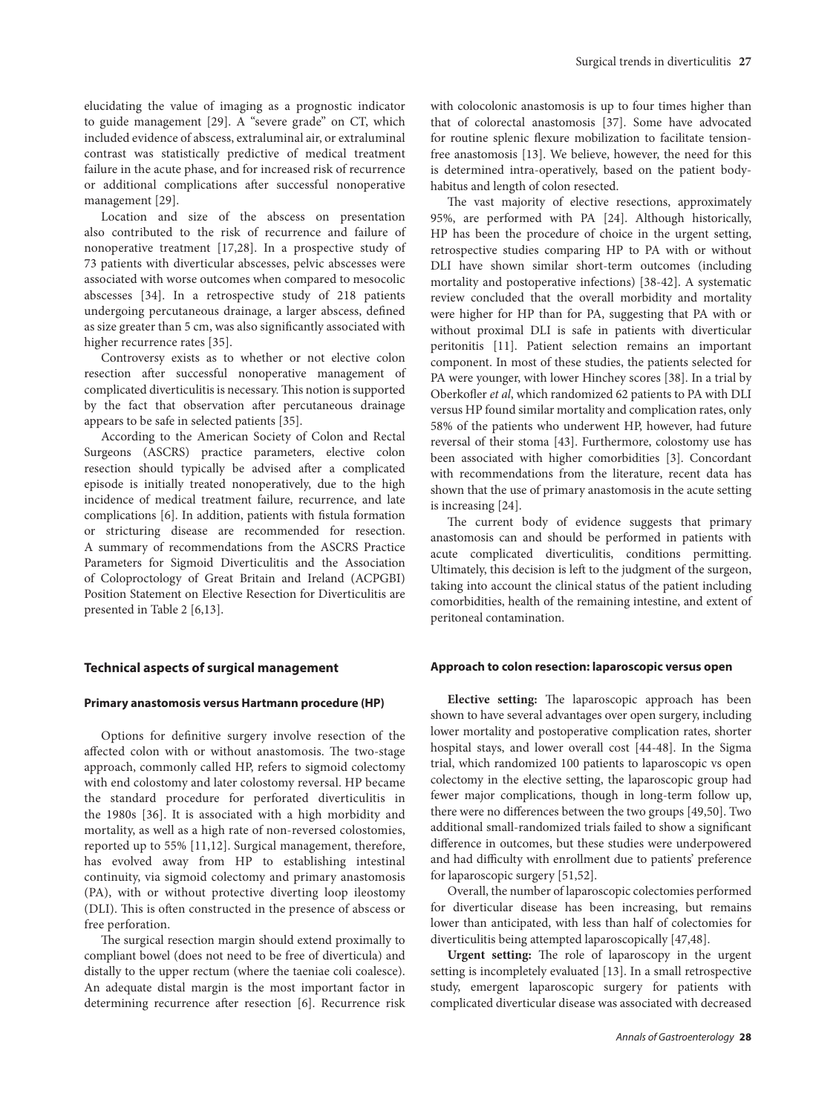elucidating the value of imaging as a prognostic indicator to guide management [29]. A "severe grade" on CT, which included evidence of abscess, extraluminal air, or extraluminal contrast was statistically predictive of medical treatment failure in the acute phase, and for increased risk of recurrence or additional complications after successful nonoperative management [29].

Location and size of the abscess on presentation also contributed to the risk of recurrence and failure of nonoperative treatment [17,28]. In a prospective study of 73 patients with diverticular abscesses, pelvic abscesses were associated with worse outcomes when compared to mesocolic abscesses [34]. In a retrospective study of 218 patients undergoing percutaneous drainage, a larger abscess, defined as size greater than 5 cm, was also significantly associated with higher recurrence rates [35].

Controversy exists as to whether or not elective colon resection after successful nonoperative management of complicated diverticulitis is necessary. This notion is supported by the fact that observation after percutaneous drainage appears to be safe in selected patients [35].

According to the American Society of Colon and Rectal Surgeons (ASCRS) practice parameters, elective colon resection should typically be advised after a complicated episode is initially treated nonoperatively, due to the high incidence of medical treatment failure, recurrence, and late complications [6]. In addition, patients with fistula formation or stricturing disease are recommended for resection. A summary of recommendations from the ASCRS Practice Parameters for Sigmoid Diverticulitis and the Association of Coloproctology of Great Britain and Ireland (ACPGBI) Position Statement on Elective Resection for Diverticulitis are presented in Table 2 [6,13].

#### **Technical aspects of surgical management**

#### **Primary anastomosis versus Hartmann procedure (HP)**

Options for definitive surgery involve resection of the affected colon with or without anastomosis. The two-stage approach, commonly called HP, refers to sigmoid colectomy with end colostomy and later colostomy reversal. HP became the standard procedure for perforated diverticulitis in the 1980s [36]. It is associated with a high morbidity and mortality, as well as a high rate of non-reversed colostomies, reported up to 55% [11,12]. Surgical management, therefore, has evolved away from HP to establishing intestinal continuity, via sigmoid colectomy and primary anastomosis (PA), with or without protective diverting loop ileostomy (DLI). This is often constructed in the presence of abscess or free perforation.

The surgical resection margin should extend proximally to compliant bowel (does not need to be free of diverticula) and distally to the upper rectum (where the taeniae coli coalesce). An adequate distal margin is the most important factor in determining recurrence after resection [6]. Recurrence risk with colocolonic anastomosis is up to four times higher than that of colorectal anastomosis [37]. Some have advocated for routine splenic flexure mobilization to facilitate tensionfree anastomosis [13]. We believe, however, the need for this is determined intra-operatively, based on the patient bodyhabitus and length of colon resected.

The vast majority of elective resections, approximately 95%, are performed with PA [24]. Although historically, HP has been the procedure of choice in the urgent setting, retrospective studies comparing HP to PA with or without DLI have shown similar short-term outcomes (including mortality and postoperative infections) [38-42]. A systematic review concluded that the overall morbidity and mortality were higher for HP than for PA, suggesting that PA with or without proximal DLI is safe in patients with diverticular peritonitis [11]. Patient selection remains an important component. In most of these studies, the patients selected for PA were younger, with lower Hinchey scores [38]. In a trial by Oberkofler *et al*, which randomized 62 patients to PA with DLI versus HP found similar mortality and complication rates, only 58% of the patients who underwent HP, however, had future reversal of their stoma [43]. Furthermore, colostomy use has been associated with higher comorbidities [3]. Concordant with recommendations from the literature, recent data has shown that the use of primary anastomosis in the acute setting is increasing [24].

The current body of evidence suggests that primary anastomosis can and should be performed in patients with acute complicated diverticulitis, conditions permitting. Ultimately, this decision is left to the judgment of the surgeon, taking into account the clinical status of the patient including comorbidities, health of the remaining intestine, and extent of peritoneal contamination.

#### **Approach to colon resection: laparoscopic versus open**

**Elective setting:** The laparoscopic approach has been shown to have several advantages over open surgery, including lower mortality and postoperative complication rates, shorter hospital stays, and lower overall cost [44-48]. In the Sigma trial, which randomized 100 patients to laparoscopic vs open colectomy in the elective setting, the laparoscopic group had fewer major complications, though in long-term follow up, there were no differences between the two groups [49,50]. Two additional small-randomized trials failed to show a significant difference in outcomes, but these studies were underpowered and had difficulty with enrollment due to patients' preference for laparoscopic surgery [51,52].

Overall, the number of laparoscopic colectomies performed for diverticular disease has been increasing, but remains lower than anticipated, with less than half of colectomies for diverticulitis being attempted laparoscopically [47,48].

**Urgent setting:** The role of laparoscopy in the urgent setting is incompletely evaluated [13]. In a small retrospective study, emergent laparoscopic surgery for patients with complicated diverticular disease was associated with decreased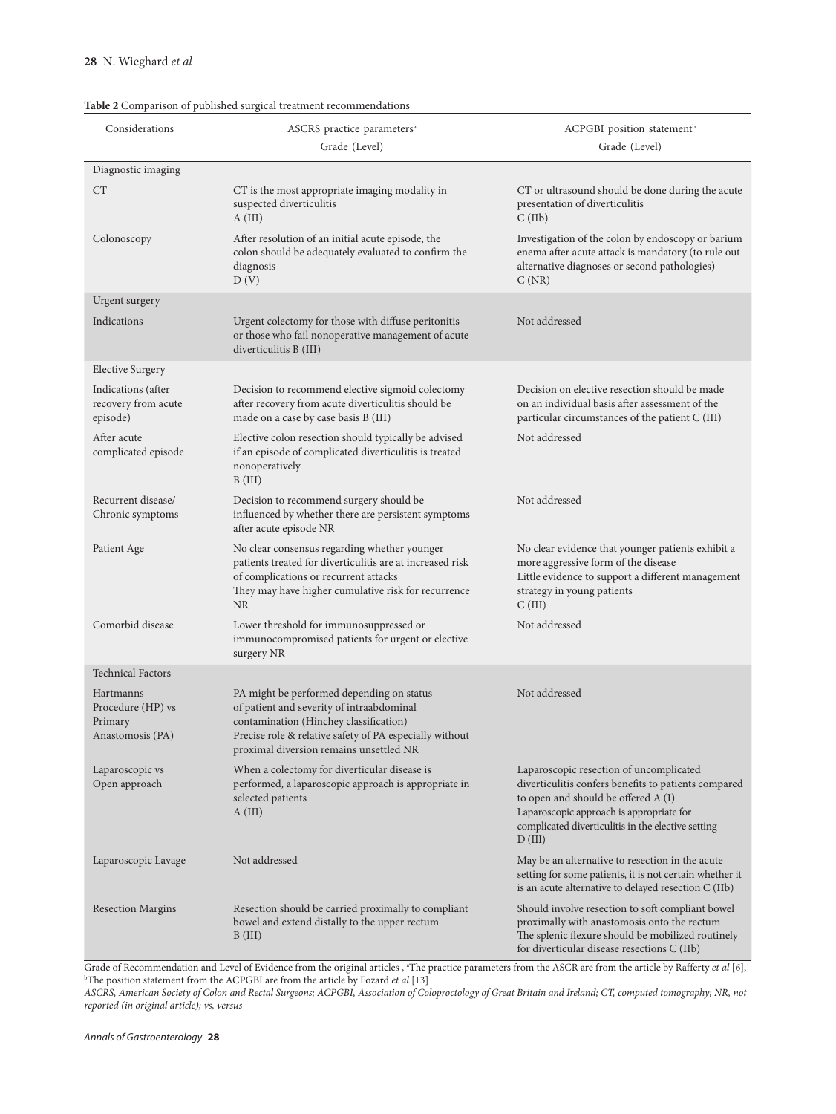# **Table 2** Comparison of published surgical treatment recommendations

| Considerations                                                | ASCRS practice parameters <sup>a</sup><br>Grade (Level)                                                                                                                                                                                | ACPGBI position statement <sup>b</sup><br>Grade (Level)                                                                                                                                                                                            |
|---------------------------------------------------------------|----------------------------------------------------------------------------------------------------------------------------------------------------------------------------------------------------------------------------------------|----------------------------------------------------------------------------------------------------------------------------------------------------------------------------------------------------------------------------------------------------|
| Diagnostic imaging                                            |                                                                                                                                                                                                                                        |                                                                                                                                                                                                                                                    |
| <b>CT</b>                                                     | CT is the most appropriate imaging modality in<br>suspected diverticulitis<br>A (III)                                                                                                                                                  | CT or ultrasound should be done during the acute<br>presentation of diverticulitis<br>C(IIb)                                                                                                                                                       |
| Colonoscopy                                                   | After resolution of an initial acute episode, the<br>colon should be adequately evaluated to confirm the<br>diagnosis<br>D(V)                                                                                                          | Investigation of the colon by endoscopy or barium<br>enema after acute attack is mandatory (to rule out<br>alternative diagnoses or second pathologies)<br>C(NR)                                                                                   |
| Urgent surgery                                                |                                                                                                                                                                                                                                        |                                                                                                                                                                                                                                                    |
| Indications                                                   | Urgent colectomy for those with diffuse peritonitis<br>or those who fail nonoperative management of acute<br>diverticulitis B (III)                                                                                                    | Not addressed                                                                                                                                                                                                                                      |
| <b>Elective Surgery</b>                                       |                                                                                                                                                                                                                                        |                                                                                                                                                                                                                                                    |
| Indications (after<br>recovery from acute<br>episode)         | Decision to recommend elective sigmoid colectomy<br>after recovery from acute diverticulitis should be<br>made on a case by case basis B (III)                                                                                         | Decision on elective resection should be made<br>on an individual basis after assessment of the<br>particular circumstances of the patient C (III)                                                                                                 |
| After acute<br>complicated episode                            | Elective colon resection should typically be advised<br>if an episode of complicated diverticulitis is treated<br>nonoperatively<br>B(III)                                                                                             | Not addressed                                                                                                                                                                                                                                      |
| Recurrent disease/<br>Chronic symptoms                        | Decision to recommend surgery should be<br>influenced by whether there are persistent symptoms<br>after acute episode NR                                                                                                               | Not addressed                                                                                                                                                                                                                                      |
| Patient Age                                                   | No clear consensus regarding whether younger<br>patients treated for diverticulitis are at increased risk<br>of complications or recurrent attacks<br>They may have higher cumulative risk for recurrence<br>NR                        | No clear evidence that younger patients exhibit a<br>more aggressive form of the disease<br>Little evidence to support a different management<br>strategy in young patients<br>C(III)                                                              |
| Comorbid disease                                              | Lower threshold for immunosuppressed or<br>immunocompromised patients for urgent or elective<br>surgery NR                                                                                                                             | Not addressed                                                                                                                                                                                                                                      |
| <b>Technical Factors</b>                                      |                                                                                                                                                                                                                                        |                                                                                                                                                                                                                                                    |
| Hartmanns<br>Procedure (HP) vs<br>Primary<br>Anastomosis (PA) | PA might be performed depending on status<br>of patient and severity of intraabdominal<br>contamination (Hinchey classification)<br>Precise role & relative safety of PA especially without<br>proximal diversion remains unsettled NR | Not addressed                                                                                                                                                                                                                                      |
| Laparoscopic vs<br>Open approach                              | When a colectomy for diverticular disease is<br>performed, a laparoscopic approach is appropriate in<br>selected patients<br>A (III)                                                                                                   | Laparoscopic resection of uncomplicated<br>diverticulitis confers benefits to patients compared<br>to open and should be offered A (I)<br>Laparoscopic approach is appropriate for<br>complicated diverticulitis in the elective setting<br>D(III) |
| Laparoscopic Lavage                                           | Not addressed                                                                                                                                                                                                                          | May be an alternative to resection in the acute<br>setting for some patients, it is not certain whether it<br>is an acute alternative to delayed resection C (IIb)                                                                                 |
| <b>Resection Margins</b>                                      | Resection should be carried proximally to compliant<br>bowel and extend distally to the upper rectum<br>B (III)                                                                                                                        | Should involve resection to soft compliant bowel<br>proximally with anastomosis onto the rectum<br>The splenic flexure should be mobilized routinely<br>for diverticular disease resections C (IIb)                                                |

Grade of Recommendation and Level of Evidence from the original articles, "The practice parameters from the ASCR are from the article by Rafferty *et al* [6],  $\forall$ The position statement from the ACPGBI are from the articl

*ASCRS, American Society of Colon and Rectal Surgeons; ACPGBI, Association of Coloproctology of Great Britain and Ireland; CT, computed tomography; NR, not reported (in original article); vs, versus*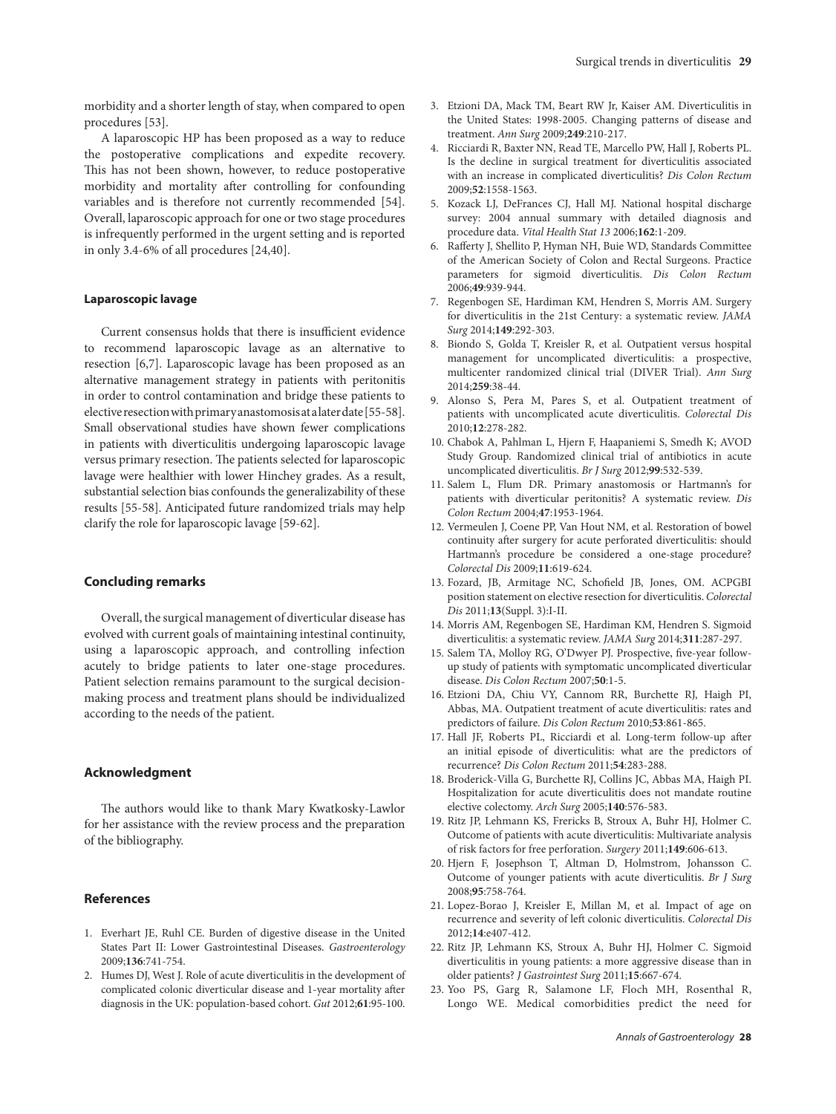morbidity and a shorter length of stay, when compared to open procedures [53].

A laparoscopic HP has been proposed as a way to reduce the postoperative complications and expedite recovery. This has not been shown, however, to reduce postoperative morbidity and mortality after controlling for confounding variables and is therefore not currently recommended [54]. Overall, laparoscopic approach for one or two stage procedures is infrequently performed in the urgent setting and is reported in only 3.4-6% of all procedures [24,40].

#### **Laparoscopic lavage**

Current consensus holds that there is insufficient evidence to recommend laparoscopic lavage as an alternative to resection [6,7]. Laparoscopic lavage has been proposed as an alternative management strategy in patients with peritonitis in order to control contamination and bridge these patients to elective resection with primary anastomosis at a later date [55-58]. Small observational studies have shown fewer complications in patients with diverticulitis undergoing laparoscopic lavage versus primary resection. The patients selected for laparoscopic lavage were healthier with lower Hinchey grades. As a result, substantial selection bias confounds the generalizability of these results [55-58]. Anticipated future randomized trials may help clarify the role for laparoscopic lavage [59-62].

# **Concluding remarks**

Overall, the surgical management of diverticular disease has evolved with current goals of maintaining intestinal continuity, using a laparoscopic approach, and controlling infection acutely to bridge patients to later one-stage procedures. Patient selection remains paramount to the surgical decisionmaking process and treatment plans should be individualized according to the needs of the patient.

## **Acknowledgment**

The authors would like to thank Mary Kwatkosky-Lawlor for her assistance with the review process and the preparation of the bibliography.

#### **References**

- 1. Everhart JE, Ruhl CE. Burden of digestive disease in the United States Part II: Lower Gastrointestinal Diseases. *Gastroenterology* 2009;**136**:741-754.
- 2. Humes DJ, West J. Role of acute diverticulitis in the development of complicated colonic diverticular disease and 1-year mortality after diagnosis in the UK: population-based cohort. *Gut* 2012;**61**:95-100.
- 3. Etzioni DA, Mack TM, Beart RW Jr, Kaiser AM. Diverticulitis in the United States: 1998-2005. Changing patterns of disease and treatment. *Ann Surg* 2009;**249**:210-217.
- 4. Ricciardi R, Baxter NN, Read TE, Marcello PW, Hall J, Roberts PL. Is the decline in surgical treatment for diverticulitis associated with an increase in complicated diverticulitis? *Dis Colon Rectum* 2009;**52**:1558-1563.
- 5. Kozack LJ, DeFrances CJ, Hall MJ. National hospital discharge survey: 2004 annual summary with detailed diagnosis and procedure data. *Vital Health Stat 13* 2006;**162**:1-209.
- 6. Rafferty J, Shellito P, Hyman NH, Buie WD, Standards Committee of the American Society of Colon and Rectal Surgeons. Practice parameters for sigmoid diverticulitis. *Dis Colon Rectum*  2006;**49**:939-944.
- 7. Regenbogen SE, Hardiman KM, Hendren S, Morris AM. Surgery for diverticulitis in the 21st Century: a systematic review. *JAMA Surg* 2014;**149**:292-303.
- 8. Biondo S, Golda T, Kreisler R, et al. Outpatient versus hospital management for uncomplicated diverticulitis: a prospective, multicenter randomized clinical trial (DIVER Trial). *Ann Surg* 2014;**259**:38-44.
- 9. Alonso S, Pera M, Pares S, et al. Outpatient treatment of patients with uncomplicated acute diverticulitis. *Colorectal Dis* 2010;**12**:278-282.
- 10. Chabok A, Pahlman L, Hjern F, Haapaniemi S, Smedh K; AVOD Study Group. Randomized clinical trial of antibiotics in acute uncomplicated diverticulitis. *Br J Surg* 2012;**99**:532-539.
- 11. Salem L, Flum DR. Primary anastomosis or Hartmann's for patients with diverticular peritonitis? A systematic review. *Dis Colon Rectum* 2004;**47**:1953-1964.
- 12. Vermeulen J, Coene PP, Van Hout NM, et al. Restoration of bowel continuity after surgery for acute perforated diverticulitis: should Hartmann's procedure be considered a one-stage procedure? *Colorectal Dis* 2009;**11**:619-624.
- 13. Fozard, JB, Armitage NC, Schofield JB, Jones, OM. ACPGBI position statement on elective resection for diverticulitis. *Colorectal Dis* 2011;**13**(Suppl. 3):I-II.
- 14. Morris AM, Regenbogen SE, Hardiman KM, Hendren S. Sigmoid diverticulitis: a systematic review. *JAMA Surg* 2014;**311**:287-297.
- 15. Salem TA, Molloy RG, O'Dwyer PJ. Prospective, five-year followup study of patients with symptomatic uncomplicated diverticular disease. *Dis Colon Rectum* 2007;**50**:1-5.
- 16. Etzioni DA, Chiu VY, Cannom RR, Burchette RJ, Haigh PI, Abbas, MA. Outpatient treatment of acute diverticulitis: rates and predictors of failure. *Dis Colon Rectum* 2010;**53**:861-865.
- 17. Hall JF, Roberts PL, Ricciardi et al. Long-term follow-up after an initial episode of diverticulitis: what are the predictors of recurrence? *Dis Colon Rectum* 2011;**54**:283-288.
- 18. Broderick-Villa G, Burchette RJ, Collins JC, Abbas MA, Haigh PI. Hospitalization for acute diverticulitis does not mandate routine elective colectomy. *Arch Surg* 2005;**140**:576-583.
- 19. Ritz JP, Lehmann KS, Frericks B, Stroux A, Buhr HJ, Holmer C. Outcome of patients with acute diverticulitis: Multivariate analysis of risk factors for free perforation. *Surgery* 2011;**149**:606-613.
- 20. Hjern F, Josephson T, Altman D, Holmstrom, Johansson C. Outcome of younger patients with acute diverticulitis. *Br J Surg* 2008;**95**:758-764.
- 21. Lopez-Borao J, Kreisler E, Millan M, et al. Impact of age on recurrence and severity of left colonic diverticulitis. *Colorectal Dis* 2012;**14**:e407-412.
- 22. Ritz JP, Lehmann KS, Stroux A, Buhr HJ, Holmer C. Sigmoid diverticulitis in young patients: a more aggressive disease than in older patients? *J Gastrointest Surg* 2011;**15**:667-674.
- 23. Yoo PS, Garg R, Salamone LF, Floch MH, Rosenthal R, Longo WE. Medical comorbidities predict the need for